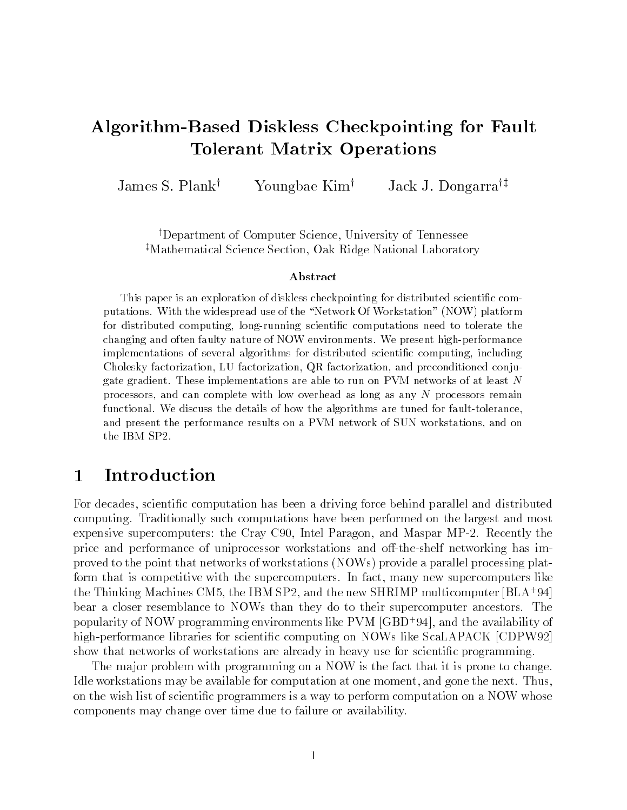# Algorithm-Based Diskless Checkpointing for Fault Tolerant Matrix Operations

James S. Plank<sup>†</sup> Youngbae Kim<sup>†</sup> Jack J. Dongarra<sup>†‡</sup>

<sup>†</sup>Department of Computer Science, University of Tennessee <sup>‡</sup>Mathematical Science Section, Oak Ridge National Laboratory

### Abstract

This paper is an exploration of diskless checkpointing for distributed scientific computations. With the widespread use of the \Network Of Workstation" (NOW) platform for distributed computing, long-running scientic computations need to tolerate the changing and often faulty nature of NOW environments. We present high-performance implementations of several algorithms for distributed scientific computing, including Cholesky factorization, LU factorization, QR factorization, and preconditioned conjugate gradient. These implementations are able to run on PVM networks of at least <sup>N</sup> processors, and can complete with low overhead as long as any <sup>N</sup> processors remain functional. We discuss the details of how the algorithms are tuned for fault-tolerance, and present the performance results on a PVM network of SUN workstations, and on the IBM SP2.

## 1 Introduction

For decades, scientic computation has been a driving force behind parallel and distributed computing. Traditionally such computations have been performed on the largest and most expensive supercomputers: the Cray C90, Intel Paragon, and Maspar MP-2. Recently the price and performance of uniprocessor workstations and off-the-shelf networking has improved to the point that networks of workstations (NOWs) provide a parallel processing platform that is competitive with the supercomputers. In fact, many new supercomputers like the Thinking Machines UM5, the IBM SP2, and the new SHRIMP multicomputer [BLA+94]  $\,$ bear a closer resemblance to NOWs than they do to their supercomputer ancestors. The popularity of NOW programming environments like PVM [GBD+ 94], and the availability of high-performance libraries for scientic computing on NOWs like ScaLAPACK [CDPW92] show that networks of workstations are already in heavy use for scientific programming.

The major problem with programming on a NOW is the fact that it is prone to change. Idle workstations may be available for computation at one moment, and gone the next. Thus, on the wish list of scientic programmers is a way to perform computation on a NOW whose components may change over time due to failure or availability.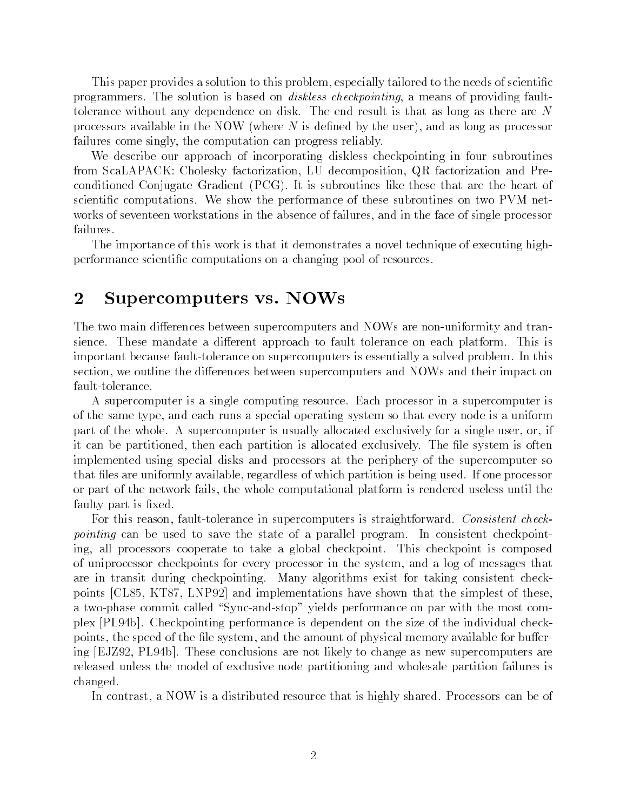This paper provides a solution to this problem, especially tailored to the needs of scientific programmers. The solution is based on diskless checkpointing, a means of providing faulttolerance without any dependence on disk. The end result is that as long as there are N processors available in the NOW (where  $N$  is defined by the user), and as long as processor failures come singly, the computation can progress reliably.

We describe our approach of incorporating diskless checkpointing in four subroutines from ScaLAPACK: Cholesky factorization, LU decomposition, QR factorization and Preconditioned Conjugate Gradient (PCG). It is subroutines like these that are the heart of scientic computations. We show the performance of these subroutines on two PVM networks of seventeen workstations in the absence of failures, and in the face of single processor failures.

The importance of this work is that it demonstrates a novel technique of executing highperformance scientic computations on a changing pool of resources.

#### Supercomputers vs. NOWs  $\bf{2}$

The two main differences between supercomputers and NOWs are non-uniformity and transience. These mandate a different approach to fault tolerance on each platform. This is important because fault-tolerance on supercomputers is essentially a solved problem. In this section, we outline the differences between supercomputers and NOWs and their impact on fault-tolerance.

A supercomputer is a single computing resource. Each processor in a supercomputer is of the same type, and each runs a special operating system so that every node is a uniform part of the whole. A supercomputer is usually allocated exclusively for a single user, or, if it can be partitioned, then each partition is allocated exclusively. The file system is often implemented using special disks and processors at the periphery of the supercomputer so that files are uniformly available, regardless of which partition is being used. If one processor or part of the network fails, the whole computational platform is rendered useless until the faulty part is fixed.

For this reason, fault-tolerance in supercomputers is straightforward. Consistent checkpointing can be used to save the state of a parallel program. In consistent checkpointing, all processors cooperate to take a global checkpoint. This checkpoint is composed of uniprocessor checkpoints for every processor in the system, and a log of messages that are in transit during checkpointing. Many algorithms exist for taking consistent checkpoints [CL85, KT87, LNP92] and implementations have shown that the simplest of these, a two-phase commit called "Sync-and-stop" yields performance on par with the most complex [PL94b]. Checkpointing performance is dependent on the size of the individual checkpoints, the speed of the file system, and the amount of physical memory available for buffering [EJZ92, PL94b]. These conclusions are not likely to change as new supercomputers are released unless the model of exclusive node partitioning and wholesale partition failures is changed.

In contrast, a NOW is a distributed resource that is highly shared. Processors can be of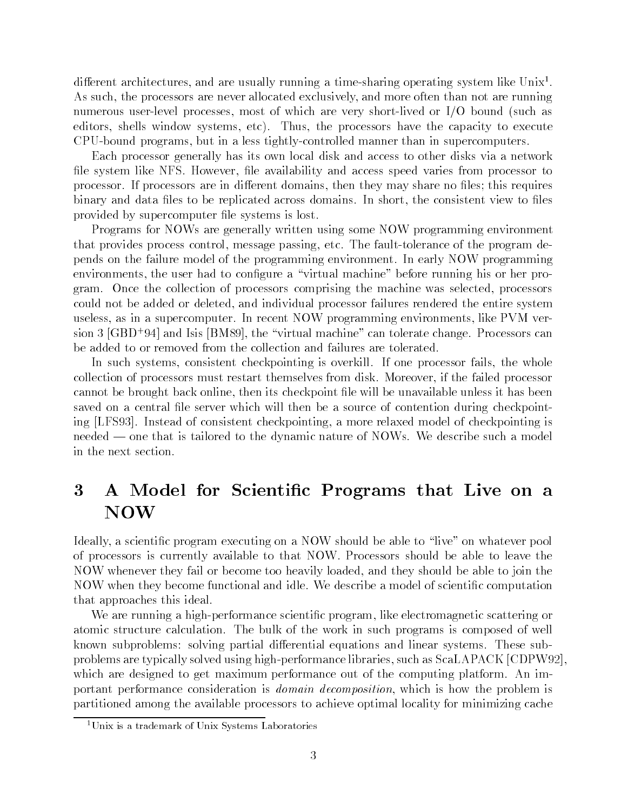dierent architectures, and are usually running a time-sharing operating system like Unix1 . As such, the processors are never allocated exclusively, and more often than not are running numerous user-level processes, most of which are very short-lived or I/O bound (such as editors, shells window systems, etc). Thus, the processors have the capacity to execute CPU-bound programs, but in a less tightly-controlled manner than in supercomputers.

Each processor generally has its own local disk and access to other disks via a network file system like NFS. However, file availability and access speed varies from processor to processor. If processors are in different domains, then they may share no files; this requires binary and data files to be replicated across domains. In short, the consistent view to files provided by supercomputer le systems is lost.

Programs for NOWs are generally written using some NOW programming environment that provides process control, message passing, etc. The fault-tolerance of the program depends on the failure model of the programming environment. In early NOW programming environments, the user had to configure a "virtual machine" before running his or her program. Once the collection of processors comprising the machine was selected, processors could not be added or deleted, and individual processor failures rendered the entire system useless, as in a supercomputer. In recent NOW programming environments, like PVM version 3 [GBD+94] and Isis [BM89], the "virtual machine" can tolerate change. Processors can be added to or removed from the collection and failures are tolerated.

In such systems, consistent checkpointing is overkill. If one processor fails, the whole collection of processors must restart themselves from disk. Moreover, if the failed processor cannot be brought back online, then its checkpoint file will be unavailable unless it has been saved on a central file server which will then be a source of contention during checkpointing [LFS93]. Instead of consistent checkpointing, a more relaxed model of checkpointing is needed — one that is tailored to the dynamic nature of NOWs. We describe such a model in the next section.

### A Model for Scientific Programs that Live on a 3 NOW

Ideally, a scientic program executing on a NOW should be able to \live" on whatever pool of processors is currently available to that NOW. Processors should be able to leave the NOW whenever they fail or become too heavily loaded, and they should be able to join the NOW when they become functional and idle. We describe a model of scientic computation that approaches this ideal.

We are running a high-performance scientific program, like electromagnetic scattering or atomic structure calculation. The bulk of the work in such programs is composed of well known subproblems: solving partial differential equations and linear systems. These subproblems are typically solved using high-performance libraries, such as ScaLAPACK [CDPW92], which are designed to get maximum performance out of the computing platform. An important performance consideration is domain decomposition, which is how the problem is partitioned among the available processors to achieve optimal locality for minimizing cache

<sup>&</sup>lt;sup>1</sup>Unix is a trademark of Unix Systems Laboratories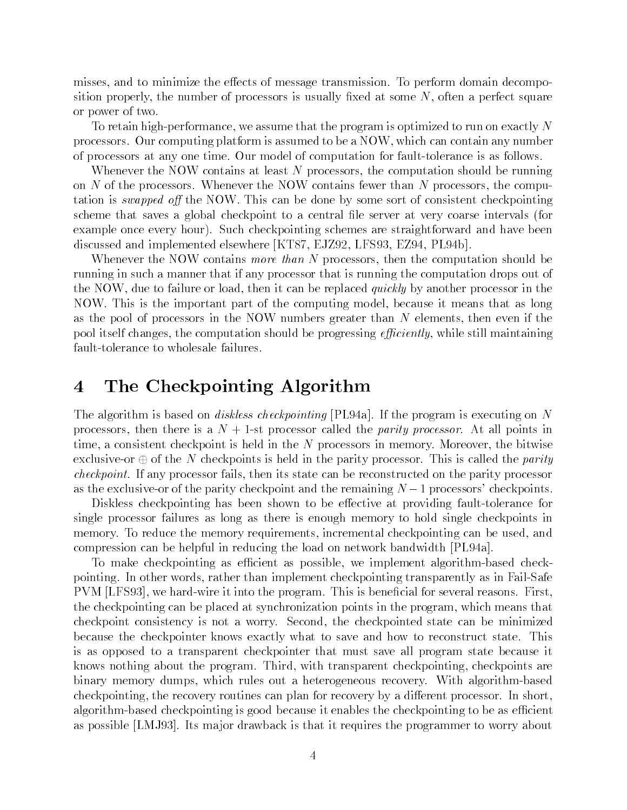misses, and to minimize the effects of message transmission. To perform domain decomposition properly, the number of processors is usually fixed at some  $N$ , often a perfect square or power of two.

To retain high-performance, we assume that the program is optimized to run on exactly N processors. Our computing platform is assumed to be a NOW, which can contain any number of processors at any one time. Our model of computation for fault-tolerance is as follows.

Whenever the NOW contains at least N processors, the computation should be running on  $N$  of the processors. Whenever the NOW contains fewer than  $N$  processors, the computation is *swapped off* the NOW. This can be done by some sort of consistent checkpointing scheme that saves a global checkpoint to a central file server at very coarse intervals (for example once every hour). Such checkpointing schemes are straightforward and have been discussed and implemented elsewhere [KT87, EJZ92, LFS93, EZ94, PL94b].

Whenever the NOW contains *more than* N processors, then the computation should be running in such a manner that if any processor that is running the computation drops out of the NOW, due to failure or load, then it can be replaced *quickly* by another processor in the NOW. This is the important part of the computing model, because it means that as long as the pool of processors in the NOW numbers greater than N elements, then even if the pool itself changes, the computation should be progressing *efficiently*, while still maintaining fault-tolerance to wholesale failures.

### 4 The Checkpointing Algorithm

The algorithm is based on *diskless checkpointing* [PL94a]. If the program is executing on N processors, then there is a  $N + 1$ -st processor called the *parity processor*. At all points in time, a consistent checkpoint is held in the N processors in memory. Moreover, the bitwise exclusive-or  $\oplus$  of the N checkpoints is held in the parity processor. This is called the parity checkpoint. If any processor fails, then its state can be reconstructed on the parity processor as the exclusive-or of the parity checkpoint and the remaining  $N-1$  processors' checkpoints.

Diskless checkpointing has been shown to be effective at providing fault-tolerance for single processor failures as long as there is enough memory to hold single checkpoints in memory. To reduce the memory requirements, incremental checkpointing can be used, and compression can be helpful in reducing the load on network bandwidth [PL94a].

To make checkpointing as efficient as possible, we implement algorithm-based checkpointing. In other words, rather than implement checkpointing transparently as in Fail-Safe PVM [LFS93], we hard-wire it into the program. This is beneficial for several reasons. First, the checkpointing can be placed at synchronization points in the program, which means that checkpoint consistency is not a worry. Second, the checkpointed state can be minimized because the checkpointer knows exactly what to save and how to reconstruct state. This is as opposed to a transparent checkpointer that must save all program state because it knows nothing about the program. Third, with transparent checkpointing, checkpoints are binary memory dumps, which rules out a heterogeneous recovery. With algorithm-based checkpointing, the recovery routines can plan for recovery by a different processor. In short, algorithm-based checkpointing is good because it enables the checkpointing to be as efficient as possible [LMJ93]. Its ma jor drawback is that it requires the programmer to worry about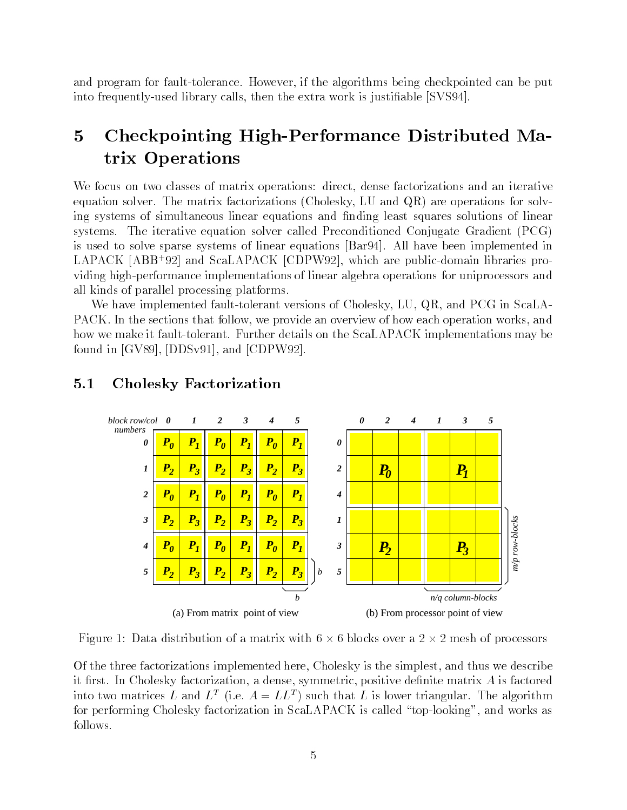and program for fault-tolerance. However, if the algorithms being checkpointed can be put into frequently-used library calls, then the extra work is justiable [SVS94].

### 5 Checkpointing High-Performance Distributed Ma- $\overline{5}$ trix Operations

We focus on two classes of matrix operations: direct, dense factorizations and an iterative equation solver. The matrix factorizations (Cholesky, LU and QR) are operations for solving systems of simultaneous linear equations and nding least squares solutions of linear systems. The iterative equation solver called Preconditioned Conjugate Gradient (PCG) is used to solve sparse systems of linear equations [Bar94]. All have been implemented in LAPACK [ABB<sup>+</sup> 92] and ScaLAPACK [CDPW92], which are public-domain libraries providing high-performance implementations of linear algebra operations for uniprocessors and all kinds of parallel processing platforms.

We have implemented fault-tolerant versions of Cholesky, LU, QR, and PCG in ScaLA-PACK. In the sections that follow, we provide an overview of how each operation works, and how we make it fault-tolerant. Further details on the ScaLAPACK implementations may be found in [GV89], [DDSv91], and [CDPW92].



#### 5.1Cholesky Factorization

Figure 1: Data distribution of a matrix with 6 - 6 blocks over a 2 - 2 mesh of processors

Of the three factorizations implemented here, Cholesky is the simplest, and thus we describe it first. In Cholesky factorization, a dense, symmetric, positive definite matrix  $A$  is factored into two matrices L and L<sup>+</sup> (i.e.  $A \equiv LL^*$  ) such that L is lower triangular. The algorithm for performing Cholesky factorization in ScaLAPACK is called \top-looking", and works as follows.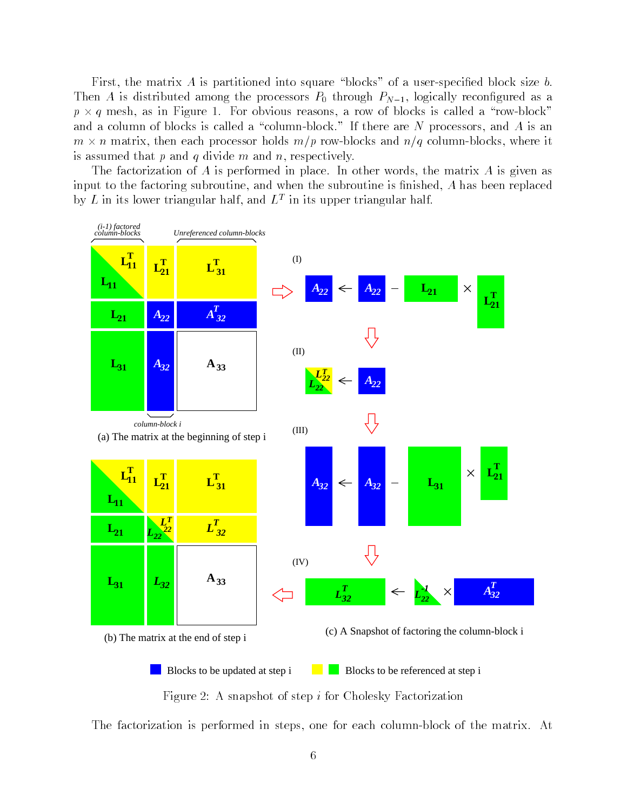First, the matrix A is partitioned into square "blocks" of a user-specified block size  $b$ . Then A is distributed and  $\sim$  the processors PM through PN1, logically reconsidered and  $\sim$ p - q mesh, as in Figure 1. For obvious reasons, a row of blocks is called a \row-block" and a column of blocks is called a "column-block." If there are N processors, and A is an m - n matrix, then each processor holds m=p row-blocks and n=q column-blocks, where it is assumed that  $p$  and  $q$  divide  $m$  and  $n$ , respectively.

The factorization of A is performed in place. In other words, the matrix A is given as input to the factoring subroutine, and when the subroutine is finished,  $A$  has been replaced by  $L$  in its lower triangular half, and  $L$  – in its upper triangular half.



Blocks to be updated at step i Blocks to be referenced at step i

Figure 2: A snapshot of step  $i$  for Cholesky Factorization

The factorization is performed in steps, one for each column-block of the matrix. At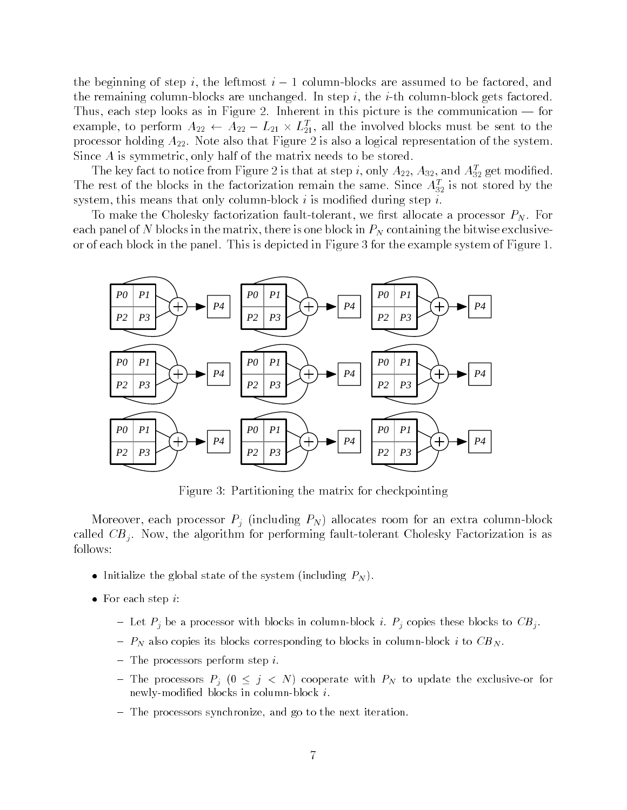the beginning of step i, the leftmost  $i-1$  column-blocks are assumed to be factored, and the remaining column-blocks are unchanged. In step i, the i-th column-block gets factored. Thus, each step looks as in Figure 2. Inherent in this picture is the communication  $-$  for example, to perform  $A_{22} \leftarrow A_{22} - L_{21} \times L_{21}^2$ , an the involved blocks must be sent to the processor holding  $A_{22}$ . Note also that Figure 2 is also a logical representation of the system. Since A is symmetric, only half of the matrix needs to be stored.

The key fact to notice from Figure 2 is that at step  $i$ , only  $A_{22}$ ,  $A_{32}$ , and  $A_{32}$  get modified. The rest of the blocks in the factorization remain the same. Since  $A_{32}$  is not stored by the system, this means that only column-block  $i$  is modified during step  $i$ .

To make the Cholesky factorization fault-tolerant, we first allocate a processor  $P_N$ . For each panel of N blocks in the matrix, there is one block in  $P_N$  containing the bitwise exclusiveor of each block in the panel. This is depicted in Figure 3 for the example system of Figure 1.



Figure 3: Partitioning the matrix for checkpointing

Moreover, each processor  $P_j$  (including  $P_N$ ) allocates room for an extra column-block called  $CB<sub>j</sub>$ . Now, the algorithm for performing fault-tolerant Cholesky Factorization is as follows:

- Initialize the global state of the system (including  $P_N$ ).
- For each step  $i$ :
	- $=$  Let  $P_j$  be a processor with blocks in column-block i.  $P_j$  copies these blocks to  $\cup D_j$ .
	- ${\cal}$   ${\cal}$   ${\cal}$   ${\cal}$   ${\cal}$  also copies its blocks corresponding to blocks in column-block  ${\cal}i$  to  ${\cal}$   ${\cal}$   ${\cal}$  ${\cal}$  ${\cal}$  ${\cal}$  ${\cal}$ ,
	- $-$  1 He processors perform step  $i$ .
	- $=$  The processors  $P_j$  (0  $\leq$  )  $\leq N$ ) cooperate with  $P_N$  to update the exclusive-or for newly-modied blocks in column-block i.
	- ${\bf -}$  -rife processors synchronize, and go to the next iteration.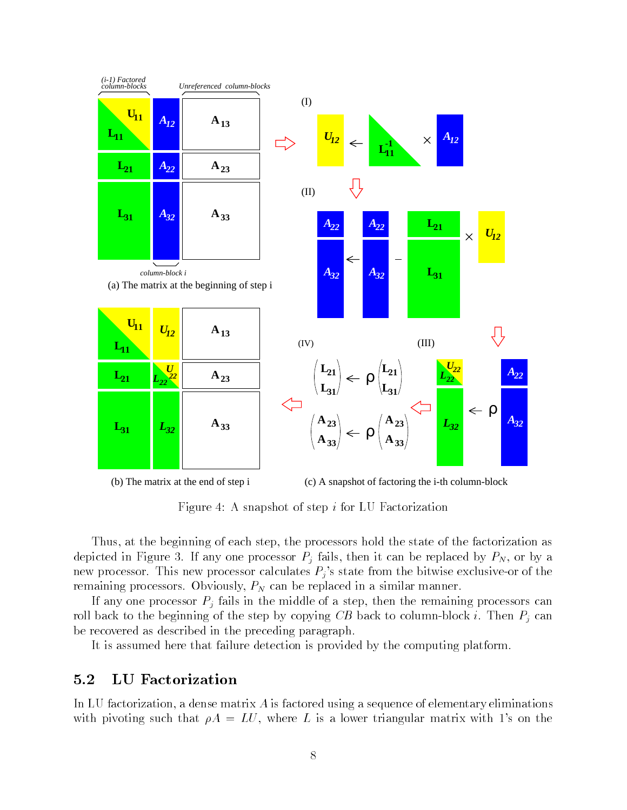

Figure 4: A snapshot of step  $i$  for LU Factorization

Thus, at the beginning of each step, the processors hold the state of the factorization as depicted in Figure 3. If any one processor  $P_i$  fails, then it can be replaced by  $P_N$ , or by a new processor. This new processor calculates  $P_j$ 's state from the bitwise exclusive-or of the remaining processors. Obviously,  $P_N$  can be replaced in a similar manner.

If any one processor  $P_i$  fails in the middle of a step, then the remaining processors can roll back to the beginning of the step by copying CB back to column-block i. Then  $P_j$  can be recovered as described in the preceding paragraph.

It is assumed here that failure detection is provided by the computing platform.

#### 5.2LU Factorization

In LU factorization, a dense matrix  $\vec{A}$  is factored using a sequence of elementary eliminations with pivoting such that  $\rho A = LU$ , where L is a lower triangular matrix with 1's on the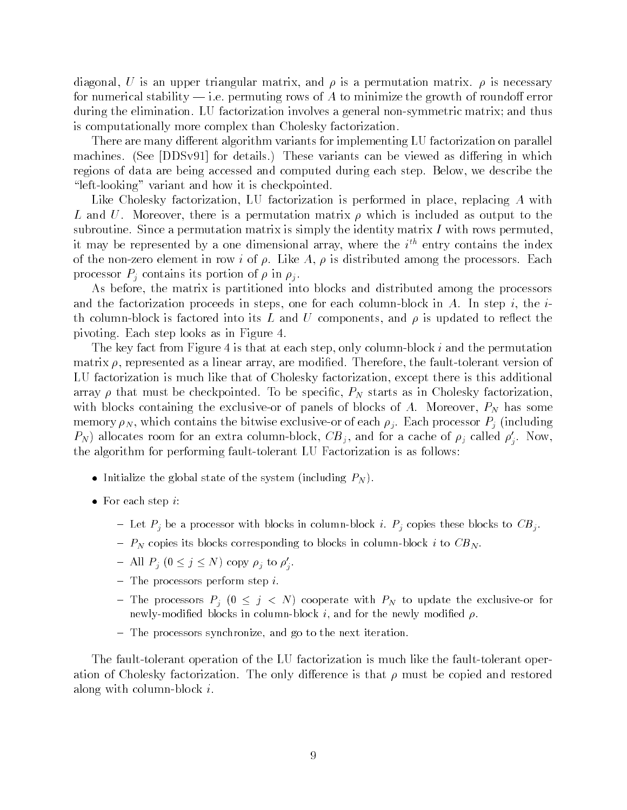diagonal, U is an upper triangular matrix, and  $\rho$  is a permutation matrix.  $\rho$  is necessary for numerical stability  $-$  i.e. permuting rows of A to minimize the growth of roundoff error during the elimination. LU factorization involves a general non-symmetric matrix; and thus is computationally more complex than Cholesky factorization.

There are many different algorithm variants for implementing LU factorization on parallel machines. (See  $[DDSv91]$  for details.) These variants can be viewed as differing in which regions of data are being accessed and computed during each step. Below, we describe the "left-looking" variant and how it is checkpointed.

Like Cholesky factorization, LU factorization is performed in place, replacing A with L and U. Moreover, there is a permutation matrix  $\rho$  which is included as output to the subroutine. Since a permutation matrix is simply the identity matrix  $I$  with rows permuted. it may be represented by a one dimensional array, where the  $i^\alpha$  entry contains the index of the non-zero element in row i of  $\rho$ . Like A,  $\rho$  is distributed among the processors. Each processor  $P_j$  contains its portion of  $\rho$  in  $\rho_j$ .

As before, the matrix is partitioned into blocks and distributed among the processors and the factorization proceeds in steps, one for each column-block in A. In step i, the  $i$ th column-block is factored into its L and U components, and  $\rho$  is updated to reflect the pivoting. Each step looks as in Figure 4.

The key fact from Figure 4 is that at each step, only column-block  $i$  and the permutation matrix  $\rho$ , represented as a linear array, are modified. Therefore, the fault-tolerant version of LU factorization is much like that of Cholesky factorization, except there is this additional array  $\rho$  that must be checkpointed. To be specific,  $P_N$  starts as in Cholesky factorization, with blocks containing the exclusive-or of panels of blocks of A. Moreover,  $P_N$  has some memory  $\rho_N$ , which contains the bitwise exclusive-or of each  $\rho_j$ . Each processor  $P_j$  (including  $F_N$ ) allocates room for an extra column-block,  $CD_i$ , and for a cache of  $\rho_i$  called  $\rho_i$ . Now, je poznata u predstavanje postavanje postavanje postavanje postavanje postavanje postavanje postavanje postava the algorithm for performing fault-tolerant LU Factorization is as follows:

- Initialize the global state of the system (including  $P_N$ ).
- For each step  $i$ :
	- $=$  Let  $P_j$  be a processor with blocks in column-block i.  $P_j$  copies these blocks to  $\cup D_j$ .
	- $=$  1  $N$  copies its blocks corresponding to blocks in column-block *i* to  $CDN$ .
	- $=$  All  $P_j$  ( $0 \leq j \leq N$ ) copy  $\rho_j$  to  $\rho_j$ .
	- $-$  1 He processors perform step  $i$ .
	- $=$  The processors  $P_j$  (0  $\leq$  )  $\leq N$ ) cooperate with  $P_N$  to update the exclusive-or for newly-modified blocks in column-block i, and for the newly modified  $\rho$ .
	- ${\bf -}$  -rife processors synchronize, and go to the next iteration.

The fault-tolerant operation of the LU factorization is much like the fault-tolerant operation of Cholesky factorization. The only difference is that  $\rho$  must be copied and restored along with column-block i.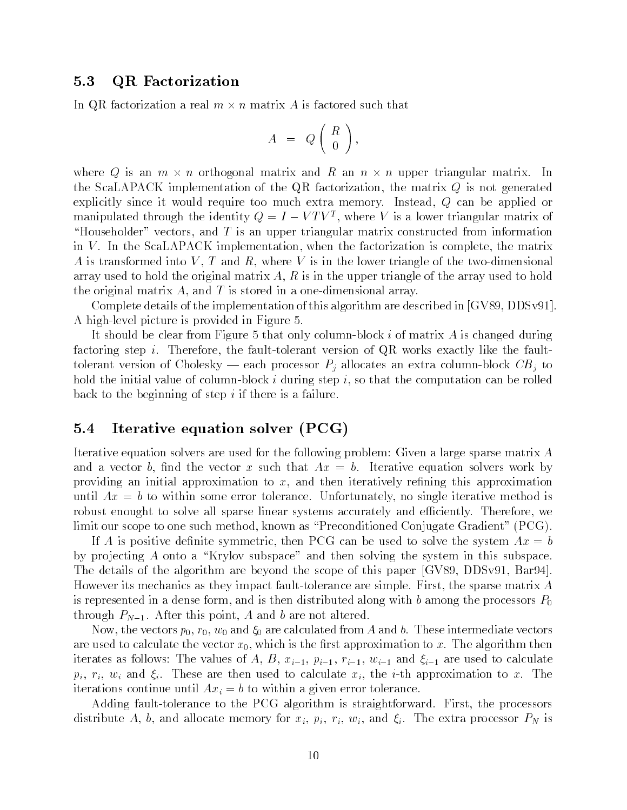#### 5.3QR Factorization

In QR factorization a real m - n matrix A is factored such that

$$
A\enskip = \enskip Q\left(\begin{array}{c}R\\0\end{array}\right),
$$

where  $\gamma$  is an in an indicated matrix and  $\gamma$  and  $\gamma$  and  $\gamma$  are  $\gamma$  and  $\gamma$  and  $\gamma$  and  $\gamma$ the ScaLAPACK implementation of the QR factorization, the matrix  $Q$  is not generated explicitly since it would require too much extra memory. Instead, Q can be applied or manipulated through the identity  $Q = I - V I V^{\top}$ , where V is a lower triangular matrix of "Householder" vectors, and  $T$  is an upper triangular matrix constructed from information in  $V$ . In the ScaLAPACK implementation, when the factorization is complete, the matrix A is transformed into V, T and R, where V is in the lower triangle of the two-dimensional array used to hold the original matrix  $A, R$  is in the upper triangle of the array used to hold the original matrix A, and T is stored in a one-dimensional array.

Complete details of the implementation of this algorithm are described in [GV89, DDSv91]. A high-level picture is provided in Figure 5.

It should be clear from Figure 5 that only column-block i of matrix A is changed during factoring step i. Therefore, the fault-tolerant version of QR works exactly like the faulttolerant version of Cholesky — each processor  $P_j$  allocates an extra column-block  $CB_j$  to hold the initial value of column-block i during step i, so that the computation can be rolled back to the beginning of step  $i$  if there is a failure.

#### 5.4Iterative equation solver (PCG)

Iterative equation solvers are used for the following problem: Given a large sparse matrix A and a vector b, find the vector x such that  $Ax = b$ . Iterative equation solvers work by providing an initial approximation to  $x$ , and then iteratively refining this approximation until  $Ax = b$  to within some error tolerance. Unfortunately, no single iterative method is robust enought to solve all sparse linear systems accurately and efficiently. Therefore, we limit our scope to one such method, known as "Preconditioned Conjugate Gradient" (PCG).

If A is positive definite symmetric, then PCG can be used to solve the system  $Ax = b$ by projecting  $A$  onto a "Krylov subspace" and then solving the system in this subspace. The details of the algorithm are beyond the scope of this paper [GV89, DDSv91, Bar94]. However its mechanics as they impact fault-tolerance are simple. First, the sparse matrix A is represented in a dense form, and is then distributed along with b among the processors  $P_0$ through  $P_{N-1}$ . After this point, A and b are not altered.

Now, the vectors p0, r0, w0 and 0 are calculated from <sup>A</sup> and b. These intermediate vectors are used to calculate the vector  $x_0$ , which is the first approximation to x. The algorithm then iterates as follows: The values of A, B,  $x_{i-1}$ ,  $p_{i-1}$ ,  $r_{i-1}$ ,  $w_{i-1}$  and  $\xi_{i-1}$  are used to calculate  $p_i, r_i, w_i$  and  $\xi_i$ . These are then used to calculate  $x_i$ , the *i*-th approximation to x. The iterations continue until  $Ax_i = b$  to within a given error tolerance.

Adding fault-tolerance to the PCG algorithm is straightforward. First, the processors distribute A, b, and allocate memory for  $x_i$ ,  $p_i$ ,  $r_i$ ,  $w_i$ , and  $\xi_i$ . The extra processor  $P_N$  is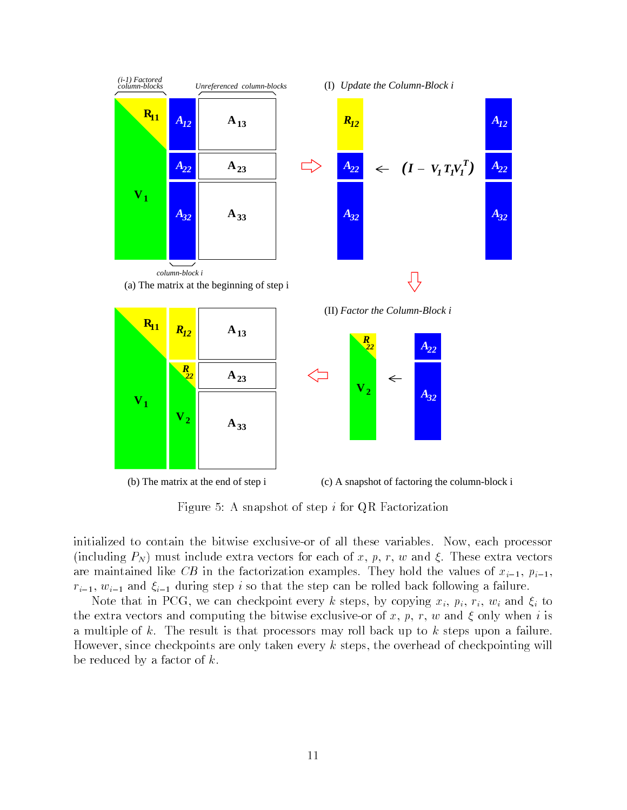

Figure 5: A snapshot of step  $i$  for QR Factorization

initialized to contain the bitwise exclusive-or of all these variables. Now, each processor (including  $P_N$ ) must include extra vectors for each of x, p, r, w and  $\xi$ . These extra vectors are maintained like CB in the factorization examples. They hold the values of  $x_{i-1}$ ,  $p_{i-1}$ ,  $r_{i-1}$ ,  $w_{i-1}$  and  $\xi_{i-1}$  during step i so that the step can be rolled back following a failure.

Note that in PCG, we can checkpoint every k steps, by copying  $x_i$ ,  $p_i$ ,  $r_i$ ,  $w_i$  and  $\xi_i$  to the extra vectors and computing the bitwise exclusive-or of x, p, r, w and  $\xi$  only when i is a multiple of  $k$ . The result is that processors may roll back up to  $k$  steps upon a failure. However, since checkpoints are only taken every  $k$  steps, the overhead of checkpointing will be reduced by a factor of  $k$ .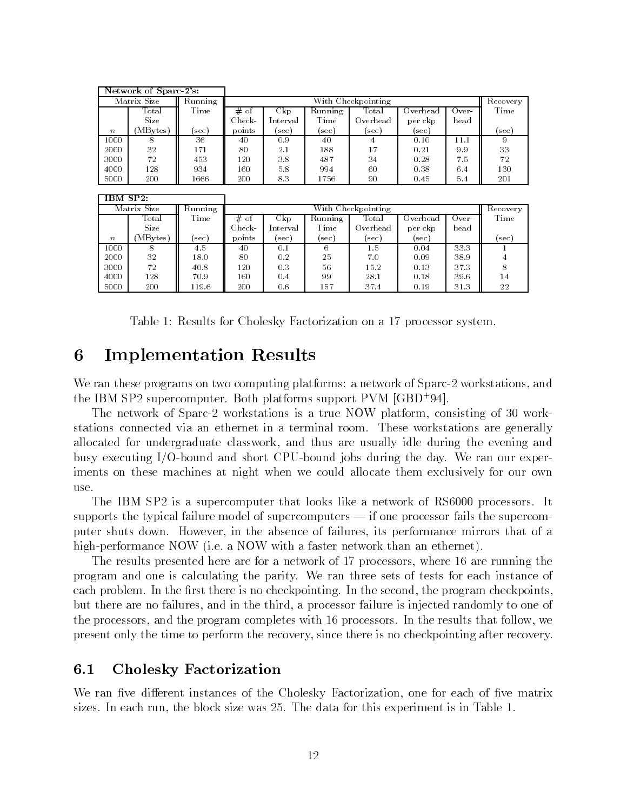|                  | Network of Sparc-2's: |         |          |                            |         |                        |          |         |       |  |
|------------------|-----------------------|---------|----------|----------------------------|---------|------------------------|----------|---------|-------|--|
|                  | Matrix Size           | Running |          | With Checkpointing         |         |                        |          |         |       |  |
|                  | $_{\rm Total}$        | Time    | $#$ of   | $C_{\mathbf{k}\mathbf{p}}$ | Running | $\operatorname{Total}$ | Overhead | $Over-$ | Time  |  |
|                  | Size                  |         | $Check-$ | Interval                   | Time    | Overhead               | per ckp  | head    |       |  |
| $\boldsymbol{n}$ | MBytes)               | 'sec )  | points   | (sec)                      | 'sec )  | (sec)                  | (sec)    |         | (sec) |  |
| 1000             | 8                     | 36      | 40       | 0.9                        | 40      |                        | 0.10     | 11.1    | 9     |  |
| 2000             | 32                    | 171     | 80       | 2.1                        | 188     | 17                     | 0.21     | 9.9     | 33    |  |
| 3000             | 72                    | 453     | 120      | 3.8                        | 487     | 34                     | 0.28     | 7.5     | 72    |  |
| 4000             | 128                   | 934     | 160      | 5.8                        | 994     | 60                     | 0.38     | 6.4     | 130   |  |
| 5000             | 200                   | 1666    | 200      | 8.3                        | 1756    | 90                     | 0.45     | 5.4     | 201   |  |

| .                |                |         |         |                    |         |                        |          |       |       |  |
|------------------|----------------|---------|---------|--------------------|---------|------------------------|----------|-------|-------|--|
|                  | Matrix Size    | Running |         | With Checkpointing |         |                        |          |       |       |  |
|                  | $_{\rm Total}$ | Time    | #<br>οt | Ckp                | Running | $\operatorname{Total}$ | Overhead | Over- | Time  |  |
|                  | Size           |         | Check-  | Interval           | Time    | Overhead               | per ckp  | head  |       |  |
| $\boldsymbol{n}$ | MBvtes)        | 'sec )  | points  | (sec)              | (sec)   | (sec)                  | (sec)    |       | (sec) |  |
| 1000             |                | 4.5     | 40      | 0.1                | 6       | 1.5                    | 0.04     | 33.3  |       |  |
| 2000             | 32             | 18.0    | 80      | 0.2                | 25      | 7.0                    | 0.09     | 38.9  | 4     |  |
| 3000             | 72             | 40.8    | 120     | 0.3                | 56      | 15.2                   | 0.13     | 37.3  | 8     |  |
| 4000             | 128            | 70.9    | 160     | 0.4                | 99      | 28.1                   | 0.18     | 39.6  | 14    |  |
| 5000             | 200            | 119.6   | 200     | 0.6                | 157     | 37.4                   | 0.19     | 31.3  | 22    |  |

Table 1: Results for Cholesky Factorization on a 17 processor system.

#### 6 6 Implementation Results

We ran these programs on two computing platforms: a network of Sparc-2 workstations, and the IBM SP2 supercomputer. Both platforms support PVM [GBD+ 94].

The network of Sparc-2 workstations is a true NOW platform, consisting of 30 workstations connected via an ethernet in a terminal room. These workstations are generally allocated for undergraduate classwork, and thus are usually idle during the evening and busy executing I/O-bound and short CPU-bound jobs during the day. We ran our experiments on these machines at night when we could allocate them exclusively for our own use.

The IBM SP2 is a supercomputer that looks like a network of RS6000 processors. It supports the typical failure model of supercomputers  $-$  if one processor fails the supercomputer shuts down. However, in the absence of failures, its performance mirrors that of a high-performance NOW (i.e. a NOW with a faster network than an ethernet).

The results presented here are for a network of 17 processors, where 16 are running the program and one is calculating the parity. We ran three sets of tests for each instance of each problem. In the first there is no checkpointing. In the second, the program checkpoints, but there are no failures, and in the third, a processor failure is injected randomly to one of the processors, and the program completes with 16 processors. In the results that follow, we present only the time to perform the recovery, since there is no checkpointing after recovery.

#### 6.1Cholesky Factorization

We ran five different instances of the Cholesky Factorization, one for each of five matrix sizes. In each run, the block size was 25. The data for this experiment is in Table 1.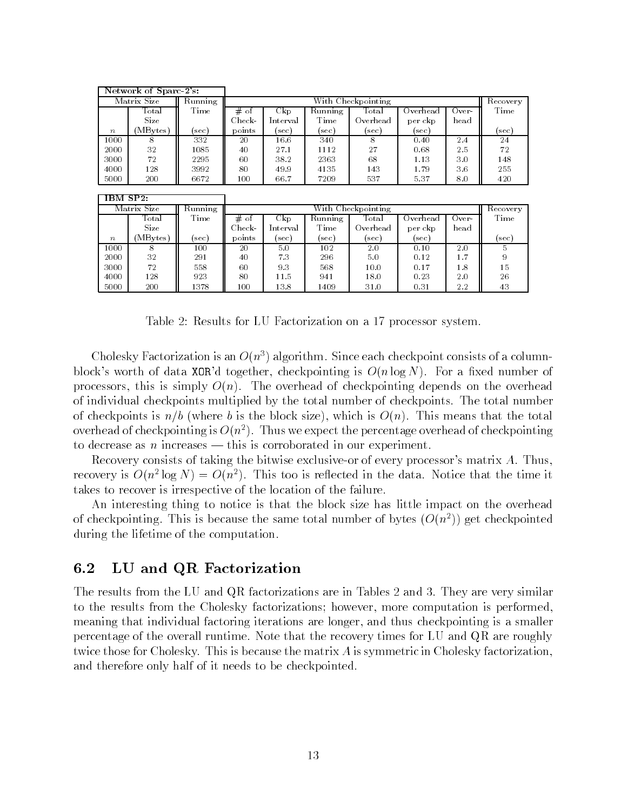|                                            | Network of Sparc-2's: |                    |          |                    |         |          |          |          |               |  |
|--------------------------------------------|-----------------------|--------------------|----------|--------------------|---------|----------|----------|----------|---------------|--|
|                                            | Matrix Size           | Running            |          | With Checkpointing |         |          |          |          |               |  |
|                                            | $_{\rm Total}$        | Time               | $#$ of   | $Ck_{p}$           | Running | Total    | Overhead | $Over-$  | Time          |  |
|                                            | Size                  |                    | $Check-$ | Interval           | Time    | Overhead | per ckp  | head     |               |  |
| $\boldsymbol{n}$                           | (MBytes)              | (sec)              | points   | (sec)              | (sec)   | (sec)    | (sec)    |          | (sec)         |  |
| 1000                                       | 8                     | 332                | 20       | 16.6               | 340     | 8        | 0.40     | 2.4      | 24            |  |
| 2000                                       | 32                    | 1085               | 40       | 27.1               | 1112    | 27       | 0.68     | 2.5      | 72            |  |
| 3000                                       | 72                    | 2295               | 60       | 38.2               | 2363    | 68       | 1.13     | 3.0      | 148           |  |
| 4000                                       | 128                   | 3992               | 80       | 49.9               | 4135    | 143      | 1.79     | 3.6      | 255           |  |
| 5000                                       | 200                   | 6672               | 100      | 66.7               | 7209    | 537      | 5.37     | 8.0      | 420           |  |
|                                            |                       |                    |          |                    |         |          |          |          |               |  |
| IBM SP2:                                   |                       |                    |          |                    |         |          |          |          |               |  |
| $\overline{\text{Running}}$<br>Matrix Size |                       | With Checkpointing |          |                    |         |          |          | Recovery |               |  |
|                                            | $_{\rm Total}$        | Time               | $#$ of   | $Ck_{p}$           | Running | Total    | Overhead | $Over-$  | Time          |  |
|                                            | Size                  |                    | Check-   | Interval           | Time    | Overhead | per ckp  | head     |               |  |
|                                            | $\sim$ $\sim$ $\sim$  | $\sim$ $\sim$      |          |                    |         |          |          |          | $\sim$ $\sim$ |  |

 <sup>128</sup> <sup>923</sup> <sup>80</sup> 11.5 <sup>941</sup> 18.0 0.23 2.0 <sup>26</sup> 200 1 2010 1 2010 1 22.9 1 22.9 1 22.9 1 2.9 1 2.9 1 2.9 1 2.9 1 2.9 1 2.9 1 2.9 1 2.9 1 2.9 1 2.9 1 2.9 1 2.9

<sup>n</sup> (MBytes) (sec) points (sec) (sec) (sec) (sec) (sec)

<sup>8</sup> <sup>100</sup> <sup>20</sup> 5.0 <sup>102</sup> 2.0 0.10 2.0 <sup>5</sup>

<sup>32</sup> <sup>291</sup> <sup>40</sup> 7.3 <sup>296</sup> 5.0 0.12 1.7 <sup>9</sup>

 $50$ 

 $1.7$ 

296

72 72 568 72 568 72 73 74 75 75 76 76 77 78 79 70 71 72 73 74 75 76 77 78 79 79 70 71.

Table 2: Results for LU Factorization on a 17 processor system.

Cholesky Factorization is an  $O(n^3)$  algorithm. Since each checkpoint consists of a columnblock's worth of data XOR'd together, checkpointing is  $O(n \log N)$ . For a fixed number of processors, this is simply  $O(n)$ . The overhead of checkpointing depends on the overhead of individual checkpoints multiplied by the total number of checkpoints. The total number of checkpoints is  $n/b$  (where b is the block size), which is  $O(n)$ . This means that the total overhead of checkpointing is  $O(n^2)$ . Thus we expect the percentage overhead of checkpointing to decrease as *n* increases  $-$  this is corroborated in our experiment.

Recovery consists of taking the bitwise exclusive-or of every processor's matrix A. Thus, recovery is  $O(n^2 \log N) = O(n^2)$ . This too is reflected in the data. Notice that the time it takes to recover is irrespective of the location of the failure.

An interesting thing to notice is that the block size has little impact on the overhead of checkpointing. This is because the same total number of bytes  $(O(n^2))$  get checkpointed during the lifetime of the computation.

#### 6.2LU and QR Factorization

1000

2000

32

291

 $40$ 

3000

4000

5000

The results from the LU and QR factorizations are in Tables 2 and 3. They are very similar to the results from the Cholesky factorizations; however, more computation is performed, meaning that individual factoring iterations are longer, and thus checkpointing is a smaller percentage of the overall runtime. Note that the recovery times for LU and QR are roughly twice those for Cholesky. This is because the matrix A is symmetric in Cholesky factorization, and therefore only half of it needs to be checkpointed.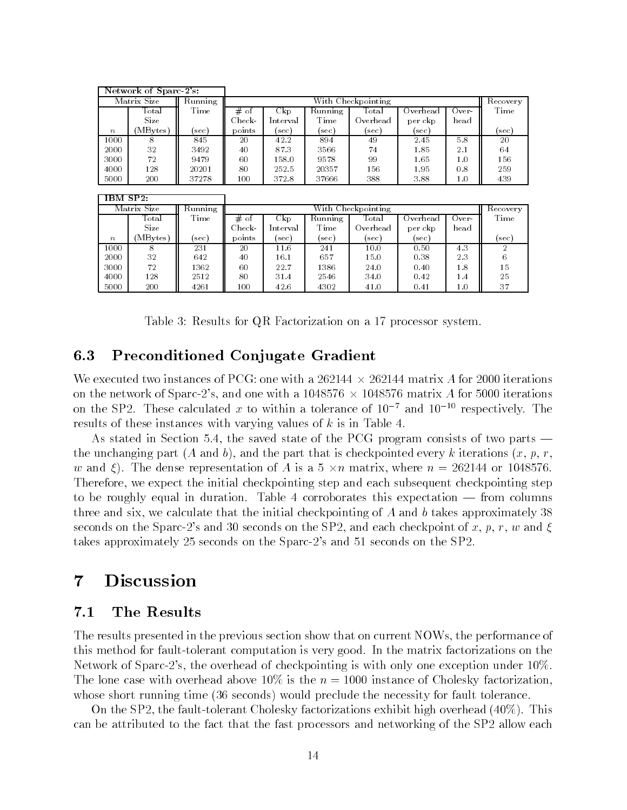|                        | Network of Sparc-2's: |         |                         |                                                   |         |                |          |         |       |  |
|------------------------|-----------------------|---------|-------------------------|---------------------------------------------------|---------|----------------|----------|---------|-------|--|
|                        | Matrix Size           | Running |                         | With Checkpointing                                |         |                |          |         |       |  |
|                        | $_{\rm Total}$        | Time    | # of                    | $Ck_{p}$                                          | Running | $_{\rm Total}$ | Overhead | $Over-$ | Time  |  |
|                        | Size                  |         | Check-                  | Interval                                          | Time    | Overhead       | per ckp  | head    |       |  |
| $\boldsymbol{n}$       | MBytes)               | sec)    | points                  | [sec]                                             | sec)    | (sec)          | (sec)    |         | (sec) |  |
| 1000                   | 8                     | 845     | 20                      | 42.2                                              | 894     | 49             | 2.45     | 5.8     | 20    |  |
| 2000                   | 32                    | 3492    | 40                      | 87.3                                              | 3566    | 74             | 1.85     | 2.1     | 64    |  |
| 3000                   | 72                    | 9479    | 60                      | 158.0                                             | 9578    | 99             | 1.65     | 1.0     | 156   |  |
| 4000                   | 128                   | 20201   | 80                      | 252.5                                             | 20357   | 156            | 1.95     | 0.8     | 259   |  |
| 5000                   | 200                   | 37278   | 100                     | 372.8                                             | 37666   | 388            | 3.88     | 1.0     | 439   |  |
|                        |                       |         |                         |                                                   |         |                |          |         |       |  |
| IBM SP2:               |                       |         |                         |                                                   |         |                |          |         |       |  |
| Running<br>Matrix Size |                       |         |                         | With Checkpointing                                |         |                |          |         |       |  |
|                        | $-$                   | $-1$    | $\cdot$ $\cdot$ $\cdot$ | -<br>___<br>$\overline{\phantom{a}}$<br>--<br>--- |         |                |          |         |       |  |

|                  | INIGULIA DILU          | ւսուութ |                 | $\cdots$ |         |                        |          |         |       |  |  |
|------------------|------------------------|---------|-----------------|----------|---------|------------------------|----------|---------|-------|--|--|
|                  | $\operatorname{Total}$ | Time    | #<br>οt         | Ckp      | Running | $\operatorname{Total}$ | Overhead | Over-   | Time  |  |  |
|                  | Size                   |         | ${\rm Check}$ - | Interval | Time    | Overhead               | per ckp  | head    |       |  |  |
| $\boldsymbol{n}$ | MBytes)                | sec l   | points          | (sec)    | 'sec )  | [sec]                  | (sec)    |         | (sec' |  |  |
| 1000             |                        | 231     | 20              | 11.6     | 241     | 10.0                   | 0.50     | 4.3     |       |  |  |
| 2000             | 32                     | 642     | 40              | 16.1     | 657     | 15.0                   | 0.38     | 2.3     |       |  |  |
| 3000             | 72                     | 1362    | 60              | 22.7     | 1386    | 24.0                   | 0.40     | $1.8\,$ | 15    |  |  |
| 4000             | 128                    | 2512    | 80              | 31.4     | 2546    | 34.0                   | 0.42     | 1.4     | 25    |  |  |
| 5000             | 200                    | 4261    | 100             | 42.6     | 4302    | 41.0                   | 0.41     | $1.0\,$ | 37    |  |  |

Table 3: Results for QR Factorization on a 17 processor system.

#### 6.3Preconditioned Conjugate Gradient

we executed two instances of PCG: one with a 26214 - 26214 - 26214 - 26214 - 26214 - 26214 - 26214 - 26214 - 26 on the network of Sparc-2's, and one with a  $1048576 \times 1048576$  matrix A for 5000 iterations on the SP2. These calculated x to within a tolerance of  $10^{-7}$  and  $10^{-10}$  respectively. The results of these instances with varying values of k is in Table 4.

As stated in Section 5.4, the saved state of the PCG program consists of two parts  $$ the unchanging part (A and b), and the part that is checkpointed every k iterations  $(x, p, r, z)$ w and ,,, the dense representation of A is a 5 - 26214 or 10444 or 1048476. Where n = 26214 or 10444 Therefore, we expect the initial checkpointing step and each subsequent checkpointing step to be roughly equal in duration. Table 4 corroborates this expectation  $-$  from columns three and six, we calculate that the initial checkpointing of A and b takes approximately 38 seconds on the Sparc-2's and 30 seconds on the SP2, and each checkpoint of x, p, r, w and  $\xi$ takes approximately 25 seconds on the Sparc-2's and 51 seconds on the SP2.

## 7 Discussion

#### 7.1The Results

The results presented in the previous section show that on current NOWs, the performance of this method for fault-tolerant computation is very good. In the matrix factorizations on the Network of Sparc-2's, the overhead of checkpointing is with only one exception under 10%. The lone case with overhead above  $10\%$  is the  $n = 1000$  instance of Cholesky factorization, whose short running time (36 seconds) would preclude the necessity for fault tolerance.

On the SP2, the fault-tolerant Cholesky factorizations exhibit high overhead (40%). This can be attributed to the fact that the fast processors and networking of the SP2 allow each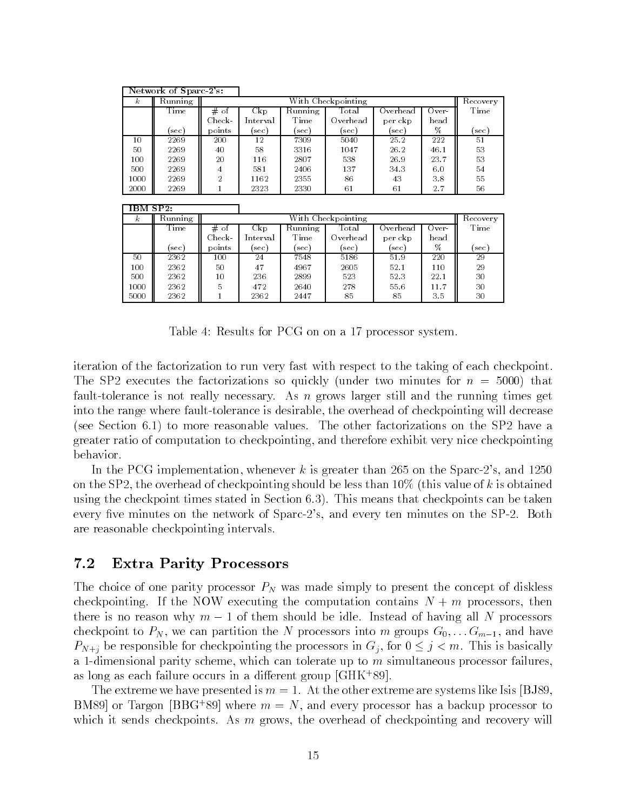| Network of Sparc-2's: |         |          |                    |          |          |          |         |       |  |  |  |
|-----------------------|---------|----------|--------------------|----------|----------|----------|---------|-------|--|--|--|
| k                     | Running |          | With Checkpointing |          |          |          |         |       |  |  |  |
|                       | Time    | $#$ of   | Ckp                | Running  | Total    | Overhead | $Over-$ | Time  |  |  |  |
|                       |         | Check-   | <b>Interval</b>    | Time     | Overhead | per ckp  | head    |       |  |  |  |
|                       | (sec)   | points   | (sec)              | (sec)    | (sec)    | (sec)    | %       | sec)  |  |  |  |
| 10                    | 2269    | 200      | 12                 | 7309     | 5040     | 25.2     | 222     | 51    |  |  |  |
| 50                    | 2269    | 40       | 58                 | 3316     | 1047     | 26.2     | 46.1    | 53    |  |  |  |
| 100                   | 2269    | 20       | 116                | 2807     | 538      | 26.9     | 23.7    | 53    |  |  |  |
| 500                   | 2269    | 4        | 581                | 2406     | 137      | 34.3     | 6.0     | 54    |  |  |  |
| 1000                  | 2269    | 2        | 1162               | 2355     | 86       | 43       | 3.8     | 55    |  |  |  |
| 2000                  | 2269    | 1        | 2323               | 2330     | 61       | 61       | 2.7     | 56    |  |  |  |
|                       |         |          |                    |          |          |          |         |       |  |  |  |
| IBM SP2:              |         |          |                    |          |          |          |         |       |  |  |  |
| k                     | Running |          |                    | Recovery |          |          |         |       |  |  |  |
|                       | Time    | $#$ of   | $C_{\rm kp}$       | Running  | Total    | Overhead | $Over-$ | Time  |  |  |  |
|                       |         | $Check-$ | Interval           | Time     | Overhead | per ckp  | head    |       |  |  |  |
|                       | (sec)   | points   | (sec)              | (sec)    | (sec)    | (sec)    | %       | (sec) |  |  |  |
| 50                    | 2362    | 100      | 24                 | 7548     | 5186     | 51.9     | 220     | 29    |  |  |  |
| 100                   | 2362    | 50       | 47                 | 4967     | 2605     | 52.1     | 110     | 29    |  |  |  |
| 500                   | 2362    | 10       | 236                | 2899     | 523      | 52.3     | 22.1    | 30    |  |  |  |
| 1000                  | 2362    | 5        | 472                | 2640     | 278      | 55.6     | 11.7    | 30    |  |  |  |
| 5000                  | 2362    | 1        | 2362               | 2447     | 85       | 85       | 3.5     | 30    |  |  |  |

Table 4: Results for PCG on on a 17 processor system.

iteration of the factorization to run very fast with respect to the taking of each checkpoint. The SP2 executes the factorizations so quickly (under two minutes for  $n = 5000$ ) that fault-tolerance is not really necessary. As n grows larger still and the running times get into the range where fault-tolerance is desirable, the overhead of checkpointing will decrease (see Section 6.1) to more reasonable values. The other factorizations on the SP2 have a greater ratio of computation to checkpointing, and therefore exhibit very nice checkpointing behavior.

In the PCG implementation, whenever k is greater than 265 on the Sparc-2's, and 1250 on the SP2, the overhead of checkpointing should be less than  $10\%$  (this value of k is obtained using the checkpoint times stated in Section 6.3). This means that checkpoints can be taken every five minutes on the network of Sparc-2's, and every ten minutes on the SP-2. Both are reasonable checkpointing intervals.

#### 7.2Extra Parity Processors

The choice of one parity processor  $P_N$  was made simply to present the concept of diskless checkpointing. If the NOW executing the computation contains  $N + m$  processors, then there is no reason why  $m-1$  of them should be idle. Instead of having all N processors checkpoint to  $P_N$ , we can partition the N processors into m groups  $G_0,\ldots G_{m-1}$ , and have  $P_{N+j}$  be responsible for checkpointing the processors in  $G_j$ , for  $0 \leq j \leq m$ . This is basically a 1-dimensional parity scheme, which can tolerate up to  $m$  simultaneous processor failures. as long as each failure occurs in a different group [GHK+89].

The extreme we have presented is  $m=1$ . At the other extreme are systems like Isis [BJ89, BM89] or Targon [BBG+89] where  $m = N$ , and every processor has a backup processor to which it sends checkpoints. As  $m$  grows, the overhead of checkpointing and recovery will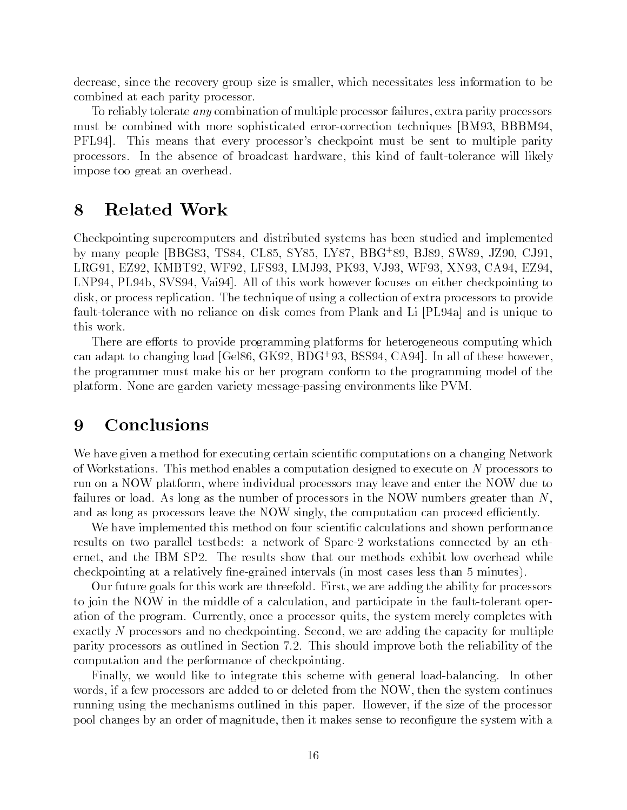decrease, since the recovery group size is smaller, which necessitates less information to be combined at each parity processor.

To reliably tolerate any combination of multiple processor failures, extra parity processors must be combined with more sophisticated error-correction techniques [BM93, BBBM94, PFL94]. This means that every processor's checkpoint must be sent to multiple parity processors. In the absence of broadcast hardware, this kind of fault-tolerance will likely impose too great an overhead.

### 8 Related Work

Checkpointing supercomputers and distributed systems has been studied and implemented by many people [BBG83, TS84, CL85, SY85, LY87, BBG+ 89, BJ89, SW89, JZ90, CJ91, LRG91, EZ92, KMBT92, WF92, LFS93, LMJ93, PK93, VJ93, WF93, XN93, CA94, EZ94, LNP94, PL94b, SVS94, Vai94. All of this work however focuses on either checkpointing to disk, or process replication. The technique of using a collection of extra processors to provide fault-tolerance with no reliance on disk comes from Plank and Li [PL94a] and is unique to this work.

There are efforts to provide programming platforms for heterogeneous computing which can adapt to changing load [Gel86, GK92, BDG+ 93, BSS94, CA94]. In all of these however, the programmer must make his or her program conform to the programming model of the platform. None are garden variety message-passing environments like PVM.

## 9 Conclusions

We have given a method for executing certain scientific computations on a changing Network of Workstations. This method enables a computation designed to execute on N processors to run on a NOW platform, where individual processors may leave and enter the NOW due to failures or load. As long as the number of processors in the NOW numbers greater than  $N$ . and as long as processors leave the NOW singly, the computation can proceed efficiently.

We have implemented this method on four scientific calculations and shown performance results on two parallel testbeds: a network of Sparc-2 workstations connected by an ethernet, and the IBM SP2. The results show that our methods exhibit low overhead while checkpointing at a relatively ne-grained intervals (in most cases less than 5 minutes).

Our future goals for this work are threefold. First, we are adding the ability for processors to join the NOW in the middle of a calculation, and participate in the fault-tolerant operation of the program. Currently, once a processor quits, the system merely completes with exactly N processors and no checkpointing. Second, we are adding the capacity for multiple parity processors as outlined in Section 7.2. This should improve both the reliability of the computation and the performance of checkpointing.

Finally, we would like to integrate this scheme with general load-balancing. In other words, if a few processors are added to or deleted from the NOW, then the system continues running using the mechanisms outlined in this paper. However, if the size of the processor pool changes by an order of magnitude, then it makes sense to recongure the system with a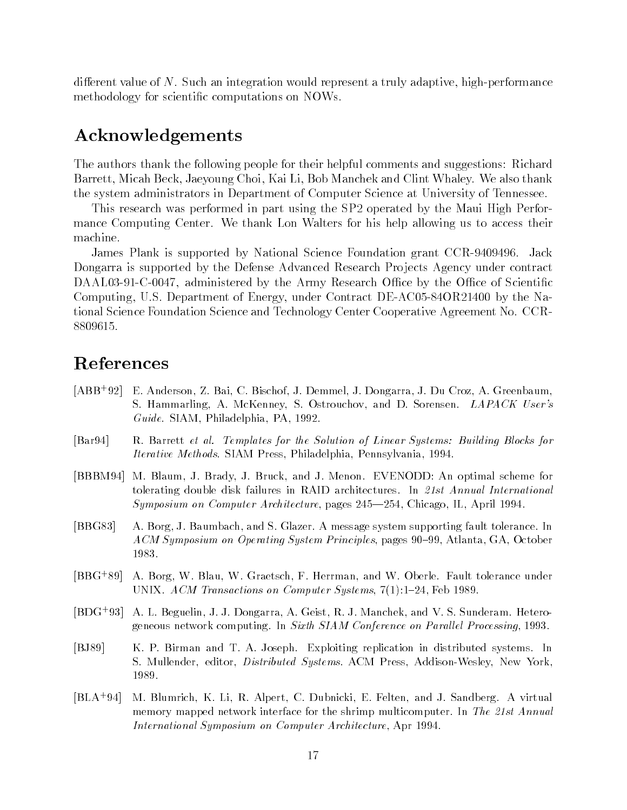different value of  $N$ . Such an integration would represent a truly adaptive, high-performance methodology for scientific computations on NOWs.

### Acknowledgements

The authors thank the following people for their helpful comments and suggestions: Richard Barrett, Micah Beck, Jaeyoung Choi, Kai Li, Bob Manchek and Clint Whaley. We also thank the system administrators in Department of Computer Science at University of Tennessee.

This research was performed in part using the SP2 operated by the Maui High Performance Computing Center. We thank Lon Walters for his help allowing us to access their machine.

James Plank is supported by National Science Foundation grant CCR-9409496. Jack Dongarra is supported by the Defense Advanced Research Projects Agency under contract DAAL03-91-C-0047, administered by the Army Research Office by the Office of Scientific Computing, U.S. Department of Energy, under Contract DE-AC05-84OR21400 by the National Science Foundation Science and Technology Center Cooperative Agreement No. CCR-8809615.

## References

- [ABB+ 92] E. Anderson, Z. Bai, C. Bischof, J. Demmel, J. Dongarra, J. Du Croz, A. Greenbaum, S. Hammarling, A. McKenney, S. Ostrouchov, and D. Sorensen. LAPACK User's Guide. SIAM, Philadelphia, PA, 1992.
- [Bar94] R. Barrett et al. Templates for the Solution of Linear Systems: Building Blocks for Iterative Methods. SIAM Press, Philadelphia, Pennsylvania, 1994.
- [BBBM94] M. Blaum, J. Brady, J. Bruck, and J. Menon. EVENODD: An optimal scheme for tolerating double disk failures in RAID architectures. In 21st Annual International Symposium on Computer Architecture, pages  $245-254$ , Chicago, IL, April 1994.
- [BBG83] A. Borg, J. Baumbach, and S. Glazer. A message system supporting fault tolerance. In ACM Symposium on Operating System Principles, pages 90–99, Atlanta, GA, October 1983.
- $[BBG+89]$ A. Borg, W. Blau, W. Graetsch, F. Herrman, and W. Oberle. Fault tolerance under UNIX.  $ACM$  Transactions on Computer Systems,  $7(1):1-24$ , Feb 1989.
- $[BDG+93]$ 93] A. L. Beguelin, J. J. Dongarra, A. Geist, R. J. Manchek, and V. S. Sunderam. Heterogeneous network computing. In Sixth SIAM Conference on Parallel Processing, 1993.
- [BJ89] K. P. Birman and T. A. Joseph. Exploiting replication in distributed systems. In S. Mullender, editor, *Distributed Systems*. ACM Press, Addison-Wesley, New York, 1989.
- $[BLA+94]$ 94] M. Blumrich, K. Li, R. Alpert, C. Dubnicki, E. Felten, and J. Sandberg. A virtual memory mapped network interface for the shrimp multicomputer. In The 21st Annual International Symposium on Computer Architecture, Apr 1994.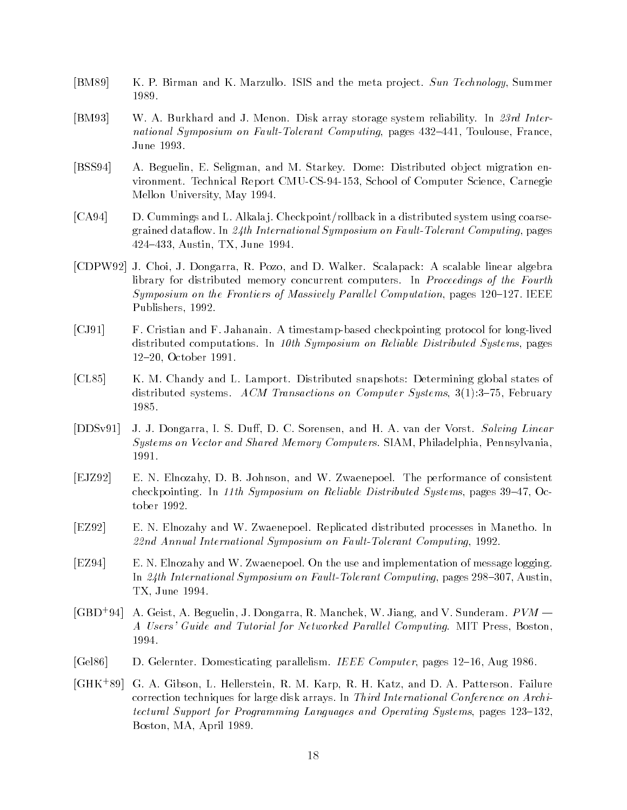- [BM89] K. P. Birman and K. Marzullo. ISIS and the meta project. Sun Technology, Summer 1989.
- [BM93] W. A. Burkhard and J. Menon. Disk array storage system reliability. In 23rd International Symposium on Fault-Tolerant Computing, pages  $432{-}441$ , Toulouse, France, June 1993.
- [BSS94] A. Beguelin, E. Seligman, and M. Starkey. Dome: Distributed ob ject migration environment. Technical Report CMU-CS-94-153, School of Computer Science, Carnegie Mellon University, May 1994.
- [CA94] D. Cummings and L. Alkala j. Checkpoint/rollback in a distributed system using coarsegrained dataflow. In 24th International Symposium on Fault-Tolerant Computing, pages 424{433, Austin, TX, June 1994.
- [CDPW92] J. Choi, J. Dongarra, R. Pozo, and D. Walker. Scalapack: A scalable linear algebra library for distributed memory concurrent computers. In Proceedings of the Fourth Symposium on the Frontiers of Massively Parallel Computation, pages  $120{-}127$ . IEEE Publishers, 1992.
- [CJ91] F. Cristian and F. Jahanain. A timestamp-based checkpointing protocol for long-lived distributed computations. In 10th Symposium on Reliable Distributed Systems, pages 12-20, October 1991.
- [CL85] K. M. Chandy and L. Lamport. Distributed snapshots: Determining global states of distributed systems. ACM Transactions on Computer Systems,  $3(1):3-75$ , February 1985.
- [DDSv91] J. J. Dongarra, I. S. Duff, D. C. Sorensen, and H. A. van der Vorst. Solving Linear Systems on Vector and Shared Memory Computers. SIAM, Philadelphia, Pennsylvania, 1991.
- [EJZ92] E. N. Elnozahy, D. B. Johnson, and W. Zwaenepoel. The performance of consistent checkpointing. In 11th Symposium on Reliable Distributed Systems, pages  $39-47$ , October 1992.
- [EZ92] E. N. Elnozahy and W. Zwaenepoel. Replicated distributed processes in Manetho. In 22nd Annual International Symposium on Fault-Tolerant Computing, 1992.
- [EZ94] E. N. Elnozahy and W. Zwaenepoel. On the use and implementation of message logging. In 24th International Symposium on Fault-Tolerant Computing, pages 298–307, Austin, TX, June 1994.
- $[GBD+94]$ A. Geist, A. Beguelin, J. Dongarra, R. Manchek, W. Jiang, and V. Sunderam. PVM  $-$ A Users' Guide and Tutorial for Networked Parallel Computing. MIT Press, Boston, 1994.
- [Gel86] D. Gelernter. Domesticating parallelism. IEEE Computer, pages 12–16, Aug 1986.
- $\left[\text{GHK}^{+89}\right]$ G. A. Gibson, L. Hellerstein, R. M. Karp, R. H. Katz, and D. A. Patterson. Failure correction techniques for large disk arrays. In Third International Conference on Architectural Support for Programming Languages and Operating Systems, pages 123–132. Boston, MA, April 1989.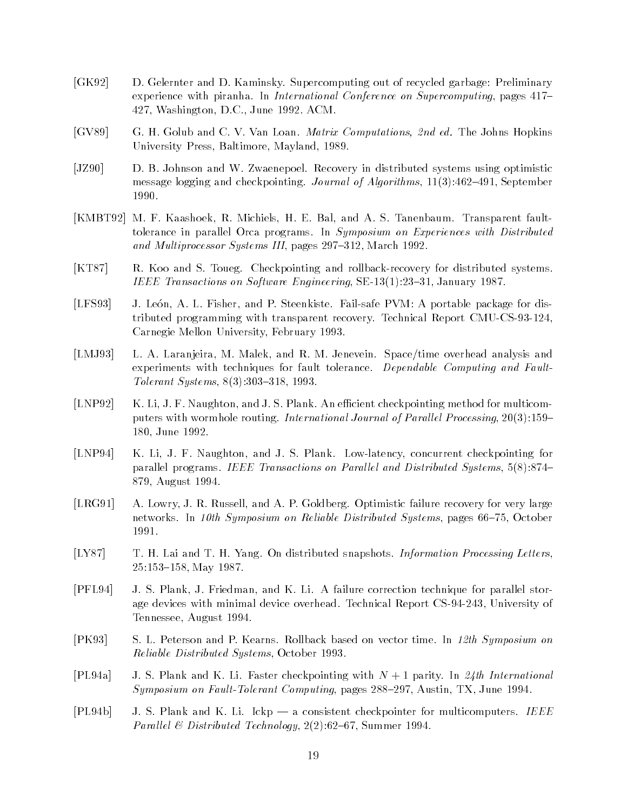- [GK92] D. Gelernter and D. Kaminsky. Supercomputing out of recycled garbage: Preliminary experience with piranha. In *International Conference on Supercomputing*, pages 417– 427, Washington, D.C., June 1992. ACM.
- [GV89] G. H. Golub and C. V. Van Loan. *Matrix Computations, 2nd ed.* The Johns Hopkins University Press, Baltimore, Mayland, 1989.
- [JZ90] D. B. Johnson and W. Zwaenepoel. Recovery in distributed systems using optimistic message logging and checkpointing. Journal of Algorithms,  $11(3):462-491$ , September 1990.
- [KMBT92] M. F. Kaashoek, R. Michiels, H. E. Bal, and A. S. Tanenbaum. Transparent faulttolerance in parallel Orca programs. In Symposium on Experiences with Distributed and Multiprocessor Systems III, pages 297-312, March 1992.
- [KT87] R. Koo and S. Toueg. Checkpointing and rollback-recovery for distributed systems. IEEE Transactions on Software Engineering,  $SE-13(1):23-31$ , January 1987.
- [LFS93] J. León, A. L. Fisher, and P. Steenkiste. Fail-safe PVM: A portable package for distributed programming with transparent recovery. Technical Report CMU-CS-93-124, Carnegie Mellon University, February 1993.
- [LMJ93] L. A. Laranjeira, M. Malek, and R. M. Jenevein. Space/time overhead analysis and experiments with techniques for fault tolerance. Dependable Computing and Fault-Tolerant Systems,  $8(3):303-318, 1993$ .
- [LNP92] K. Li, J. F. Naughton, and J. S. Plank. An efficient checkpointing method for multicomputers with wormhole routing. International Journal of Parallel Processing,  $20(3):159-$ 180, June 1992.
- [LNP94] K. Li, J. F. Naughton, and J. S. Plank. Low-latency, concurrent checkpointing for parallel programs. IEEE Transactions on Parallel and Distributed Systems, 5(8):874– 879, August 1994.
- [LRG91] A. Lowry, J. R. Russell, and A. P. Goldberg. Optimistic failure recovery for very large networks. In 10th Symposium on Reliable Distributed Systems, pages 66-75, October 1991.
- [LY87] T. H. Lai and T. H. Yang. On distributed snapshots. *Information Processing Letters*, 25:153-158, May 1987.
- [PFL94] J. S. Plank, J. Friedman, and K. Li. A failure correction technique for parallel storage devices with minimal device overhead. Technical Report CS-94-243, University of Tennessee, August 1994.
- [PK93] S. L. Peterson and P. Kearns. Rollback based on vector time. In 12th Symposium on Reliable Distributed Systems, October 1993.
- [PL94a] J. S. Plank and K. Li. Faster checkpointing with  $N + 1$  parity. In 24th International  $Symposing on \; Fault\; Tolerant \; Computing, \; pages \; 288-297, \; Austin, \; TX, \; June \; 1994.$
- $[PL94b]$  J. S. Plank and K. Li. Ickp a consistent checkpointer for multicomputers. IEEE Parallel & Distributed Technology,  $2(2):62{-}67$ , Summer 1994.